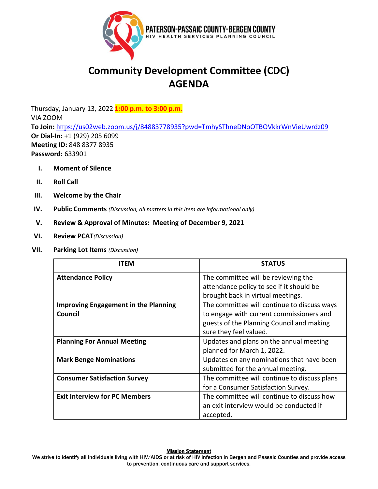

# **Community Development Committee (CDC) AGENDA**

Thursday, January 13, 2022 **1:00 p.m. to 3:00 p.m.** VIA ZOOM **To Join:** [https:](https://us02web.zoom.us/j/84883778935?pwd=TmhySThneDNoOTBOVkkrWnVieUwrdz09)[//us02web.zoom.us/j/84883778935?pwd=TmhySThneDNoOTBOVkkrWnVieUwrdz09](https://us02web.zoom.us/j/84883778935?pwd=TmhySThneDNoOTBOVkkrWnVieUwrdz09) **Or Dial-In:** +1 (929) 205 6099 **Meeting ID:** 848 8377 8935 **Password:** 633901

- **I. Moment of Silence**
- **II. Roll Call**
- **III. Welcome by the Chair**
- **IV. Public Comments** *(Discussion, all matters in this item are informational only)*
- **V. Review & Approval of Minutes: Meeting of December 9, 2021**
- **VI. Review PCAT***(Discussion)*
- **VII. Parking Lot Items** *(Discussion)*

| ITEM                                        | <b>STATUS</b>                                |
|---------------------------------------------|----------------------------------------------|
| <b>Attendance Policy</b>                    | The committee will be reviewing the          |
|                                             | attendance policy to see if it should be     |
|                                             | brought back in virtual meetings.            |
| <b>Improving Engagement in the Planning</b> | The committee will continue to discuss ways  |
| Council                                     | to engage with current commissioners and     |
|                                             | guests of the Planning Council and making    |
|                                             | sure they feel valued.                       |
| <b>Planning For Annual Meeting</b>          | Updates and plans on the annual meeting      |
|                                             | planned for March 1, 2022.                   |
| <b>Mark Benge Nominations</b>               | Updates on any nominations that have been    |
|                                             | submitted for the annual meeting.            |
| <b>Consumer Satisfaction Survey</b>         | The committee will continue to discuss plans |
|                                             | for a Consumer Satisfaction Survey.          |
| <b>Exit Interview for PC Members</b>        | The committee will continue to discuss how   |
|                                             | an exit interview would be conducted if      |
|                                             | accepted.                                    |

### **Mission Statement**

We strive to identify all individuals living with HIV/AIDS or at risk of HIV infection in Bergen and Passaic Counties and provide access to prevention, continuous care and support services.